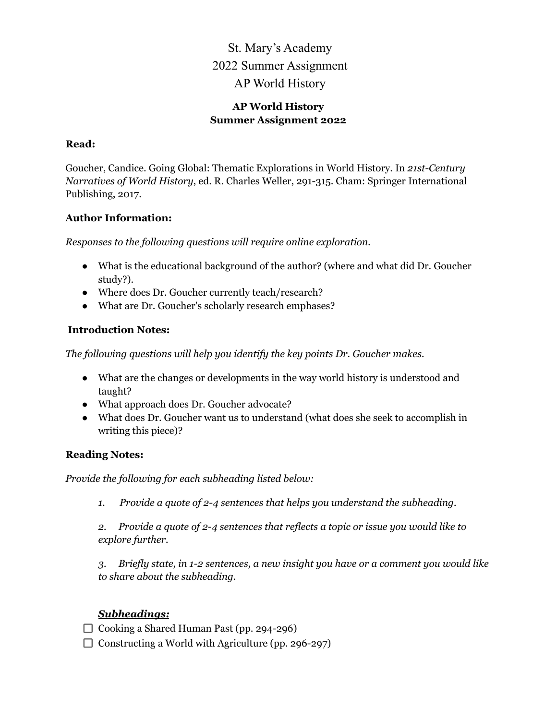# St. Mary's Academy 2022 Summer Assignment AP World History

#### **AP World History Summer Assignment 2022**

#### **Read:**

Goucher, Candice. Going Global: Thematic Explorations in World History. In *21st-Century Narratives of World History*, ed. R. Charles Weller, 291-315. Cham: Springer International Publishing, 2017.

#### **Author Information:**

*Responses to the following questions will require online exploration.*

- What is the educational background of the author? (where and what did Dr. Goucher study?).
- Where does Dr. Goucher currently teach/research?
- What are Dr. Goucher's scholarly research emphases?

# **Introduction Notes:**

*The following questions will help you identify the key points Dr. Goucher makes.*

- What are the changes or developments in the way world history is understood and taught?
- What approach does Dr. Goucher advocate?
- What does Dr. Goucher want us to understand (what does she seek to accomplish in writing this piece)?

# **Reading Notes:**

*Provide the following for each subheading listed below:*

*1. Provide a quote of 2-4 sentences that helps you understand the subheading.*

*2. Provide a quote of 2-4 sentences that reflects a topic or issue you would like to explore further.*

*3. Briefly state, in 1-2 sentences, a new insight you have or a comment you would like to share about the subheading.*

# *Subheadings:*

□ Cooking a Shared Human Past (pp. 294-296)

 $\Box$  Constructing a World with Agriculture (pp. 296-297)